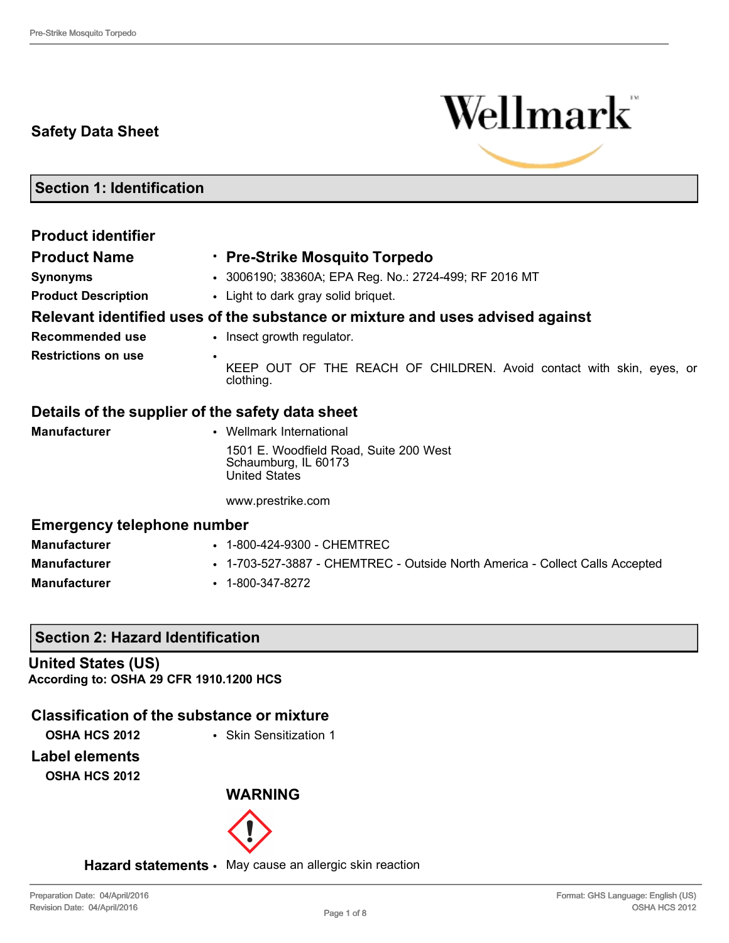## **Safety Data Sheet**



**Section 1: Identification**

| <b>Product identifier</b>                        |                                                                                        |  |  |
|--------------------------------------------------|----------------------------------------------------------------------------------------|--|--|
| <b>Product Name</b>                              | · Pre-Strike Mosquito Torpedo                                                          |  |  |
| <b>Synonyms</b>                                  | • 3006190; 38360A; EPA Reg. No.: 2724-499; RF 2016 MT                                  |  |  |
| <b>Product Description</b>                       | • Light to dark gray solid briquet.                                                    |  |  |
|                                                  | Relevant identified uses of the substance or mixture and uses advised against          |  |  |
| Recommended use                                  | • Insect growth regulator.                                                             |  |  |
| <b>Restrictions on use</b><br>٠                  | KEEP OUT OF THE REACH OF CHILDREN. Avoid contact with skin, eyes, or<br>clothing.      |  |  |
| Details of the supplier of the safety data sheet |                                                                                        |  |  |
| <b>Manufacturer</b>                              | • Wellmark International                                                               |  |  |
|                                                  | 1501 E. Woodfield Road, Suite 200 West<br>Schaumburg, IL 60173<br><b>United States</b> |  |  |
|                                                  | www.prestrike.com                                                                      |  |  |
| <b>Emergency telephone number</b>                |                                                                                        |  |  |
| <b>Manufacturer</b>                              | • 1-800-424-9300 - CHEMTREC                                                            |  |  |
| <b>Manufacturer</b>                              | • 1-703-527-3887 - CHEMTREC - Outside North America - Collect Calls Accepted           |  |  |
| <b>Manufacturer</b>                              | $\cdot$ 1-800-347-8272                                                                 |  |  |

## **Section 2: Hazard Identification**

**United States (US) According to: OSHA 29 CFR 1910.1200 HCS**

## **Classification of the substance or mixture**

**OSHA HCS 2012** • Skin Sensitization 1

## **Label elements**

**OSHA HCS 2012**

### **WARNING**



**Hazard statements** • May cause an allergic skin reaction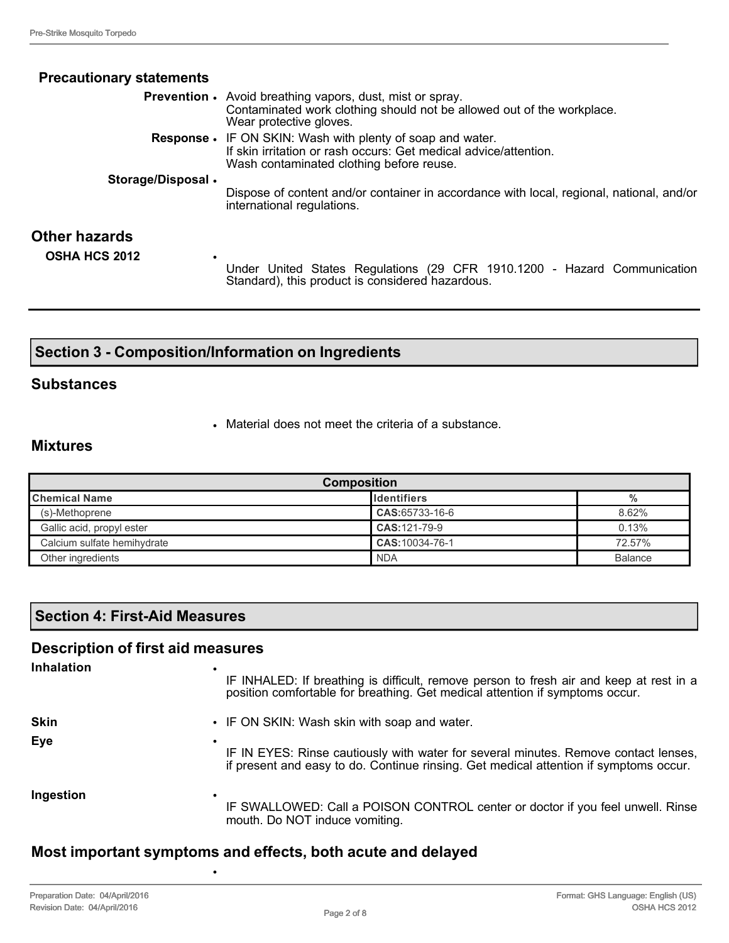| <b>Precautionary statements</b>   |                                                                                                                                                                                   |
|-----------------------------------|-----------------------------------------------------------------------------------------------------------------------------------------------------------------------------------|
|                                   | <b>Prevention •</b> Avoid breathing vapors, dust, mist or spray.<br>Contaminated work clothing should not be allowed out of the workplace.<br>Wear protective gloves.             |
|                                   | <b>Response •</b> IF ON SKIN: Wash with plenty of soap and water.<br>If skin irritation or rash occurs: Get medical advice/attention.<br>Wash contaminated clothing before reuse. |
| Storage/Disposal.                 | Dispose of content and/or container in accordance with local, regional, national, and/or<br>international regulations.                                                            |
| Other hazards                     |                                                                                                                                                                                   |
| <b>OSHA HCS 2012</b><br>$\bullet$ | Under United States Regulations (29 CFR 1910.1200 - Hazard Communication<br>Standard), this product is considered hazardous.                                                      |

## **Section 3 - Composition/Information on Ingredients**

### **Substances**

• Material does not meet the criteria of a substance.

### **Mixtures**

| <b>Composition</b>          |                    |                |
|-----------------------------|--------------------|----------------|
| <b>Chemical Name</b>        | <b>Identifiers</b> | $\frac{0}{0}$  |
| (s)-Methoprene              | CAS:65733-16-6     | 8.62%          |
| Gallic acid, propyl ester   | CAS: 121-79-9      | 0.13%          |
| Calcium sulfate hemihydrate | CAS: 10034-76-1    | 72.57%         |
| Other ingredients           | <b>NDA</b>         | <b>Balance</b> |

## **Section 4: First-Aid Measures**

### **Description of first aid measures**

| <b>Inhalation</b> | IF INHALED: If breathing is difficult, remove person to fresh air and keep at rest in a<br>position comfortable for breathing. Get medical attention if symptoms occur.           |
|-------------------|-----------------------------------------------------------------------------------------------------------------------------------------------------------------------------------|
| <b>Skin</b>       | • IF ON SKIN: Wash skin with soap and water.                                                                                                                                      |
| Eye               | ٠<br>IF IN EYES: Rinse cautiously with water for several minutes. Remove contact lenses,<br>if present and easy to do. Continue rinsing. Get medical attention if symptoms occur. |
| Ingestion         | IF SWALLOWED: Call a POISON CONTROL center or doctor if you feel unwell. Rinse<br>mouth. Do NOT induce vomiting.                                                                  |

## **Most important symptoms and effects, both acute and delayed**

•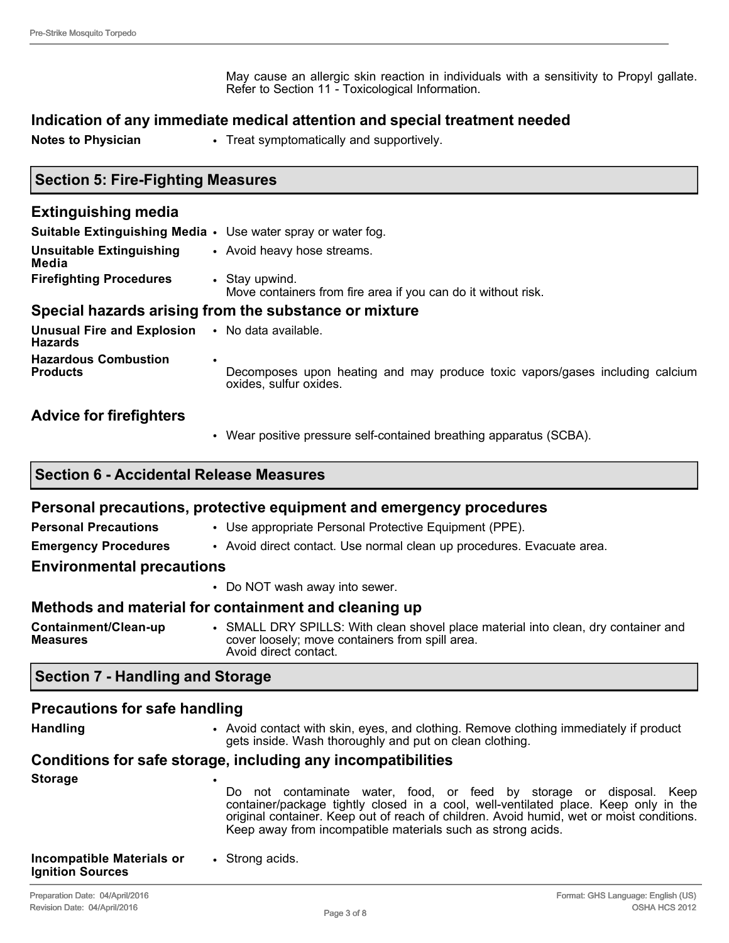May cause an allergic skin reaction in individuals with a sensitivity to Propyl gallate. Refer to Section 11 - Toxicological Information.

### **Indication of any immediate medical attention and special treatment needed**

**Notes to Physician** • Treat symptomatically and supportively.

### **Section 5: Fire-Fighting Measures**

| <b>Extinguishing media</b>                                          |                                                                                                                     |  |  |
|---------------------------------------------------------------------|---------------------------------------------------------------------------------------------------------------------|--|--|
| <b>Suitable Extinguishing Media •</b> Use water spray or water fog. |                                                                                                                     |  |  |
| <b>Unsuitable Extinguishing</b><br>Media                            | • Avoid heavy hose streams.                                                                                         |  |  |
| <b>Firefighting Procedures</b>                                      | • Stay upwind.<br>Move containers from fire area if you can do it without risk.                                     |  |  |
| Special hazards arising from the substance or mixture               |                                                                                                                     |  |  |
| Unusual Fire and Explosion . No data available.<br><b>Hazards</b>   |                                                                                                                     |  |  |
| <b>Hazardous Combustion</b><br><b>Products</b>                      | $\bullet$<br>Decomposes upon heating and may produce toxic vapors/gases including calcium<br>oxides, sulfur oxides. |  |  |

### **Advice for firefighters**

• Wear positive pressure self-contained breathing apparatus (SCBA).

### **Section 6 - Accidental Release Measures**

#### **Personal precautions, protective equipment and emergency procedures**

- **Personal Precautions Use appropriate Personal Protective Equipment (PPE).**
- **Emergency Procedures** Avoid direct contact. Use normal clean up procedures. Evacuate area.

### **Environmental precautions**

• Do NOT wash away into sewer.

### **Methods and material for containment and cleaning up**

**Containment/Clean-up Measures** • SMALL DRY SPILLS: With clean shovel place material into clean, dry container and cover loosely; move containers from spill area. Avoid direct contact.

### **Section 7 - Handling and Storage**

### **Precautions for safe handling**

**Handling** • Avoid contact with skin, eyes, and clothing. Remove clothing immediately if product gets inside. Wash thoroughly and put on clean clothing.

# **Conditions for safe storage, including any incompatibilities**

**Storage** • Do not contaminate water, food, or feed by storage or disposal. Keep container/package tightly closed in a cool, well-ventilated place. Keep only in the original container. Keep out of reach of children. Avoid humid, wet or moist conditions. Keep away from incompatible materials such as strong acids. **Incompatible Materials or Ignition Sources** • Strong acids.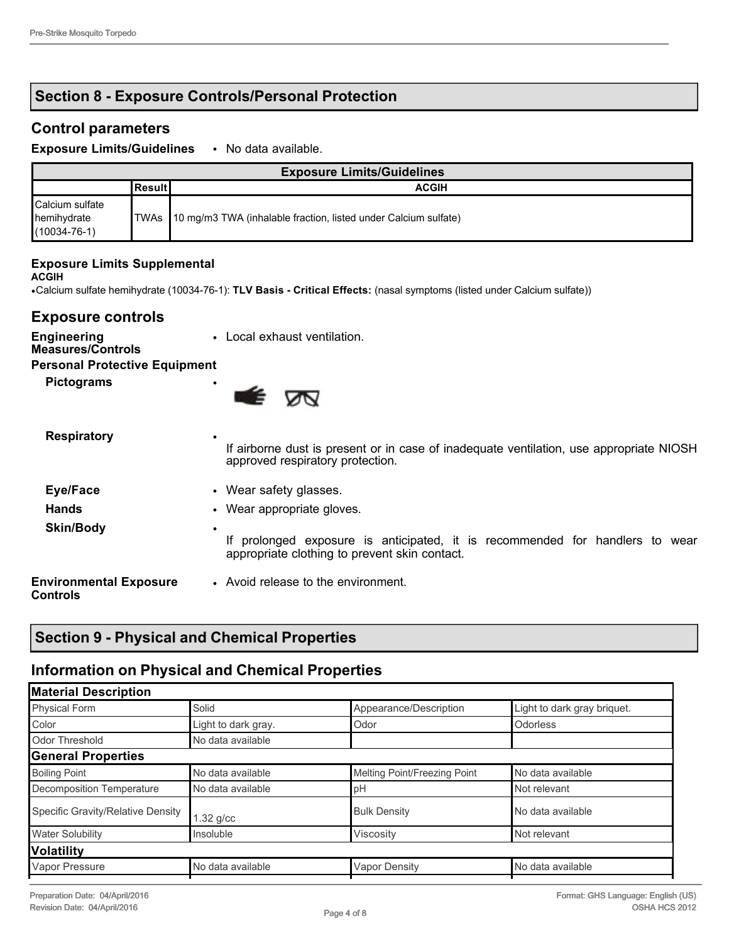## **Section 8 - Exposure Controls/Personal Protection**

## **Control parameters**

**Exposure Limits/Guidelines** • No data available.

| <b>Exposure Limits/Guidelines</b>                    |            |                                                                      |
|------------------------------------------------------|------------|----------------------------------------------------------------------|
|                                                      | l Result l | <b>ACGIH</b>                                                         |
| Calcium sulfate<br>hemihydrate<br>$(10034 - 76 - 1)$ |            | TWAs 10 mg/m3 TWA (inhalable fraction, listed under Calcium sulfate) |

#### **Exposure Limits Supplemental**

#### **ACGIH**

**Engineering** 

•Calcium sulfate hemihydrate (10034-76-1): **TLV Basis - Critical Effects:** (nasal symptoms (listed under Calcium sulfate))

## **Exposure controls**

#### **Measures/Controls Personal Protective Equipment**

| croonar riotocave Equipment |  |
|-----------------------------|--|
| <b>Pictograms</b>           |  |



| <b>Respiratory</b>                        | ٠<br>If airborne dust is present or in case of inadequate ventilation, use appropriate NIOSH<br>approved respiratory protection.   |  |
|-------------------------------------------|------------------------------------------------------------------------------------------------------------------------------------|--|
| Eye/Face                                  | • Wear safety glasses.                                                                                                             |  |
| <b>Hands</b>                              | • Wear appropriate gloves.                                                                                                         |  |
| <b>Skin/Body</b>                          | ٠<br>If prolonged exposure is anticipated, it is recommended for handlers to wear<br>appropriate clothing to prevent skin contact. |  |
| <b>Environmental Exposure</b><br>Controls | • Avoid release to the environment.                                                                                                |  |

## **Section 9 - Physical and Chemical Properties**

## **Information on Physical and Chemical Properties**

| <b>Material Description</b>       |                     |                              |                             |
|-----------------------------------|---------------------|------------------------------|-----------------------------|
| <b>Physical Form</b>              | Solid               | Appearance/Description       | Light to dark gray briquet. |
| Color                             | Light to dark gray. | Odor                         | <b>Odorless</b>             |
| Odor Threshold                    | No data available   |                              |                             |
| <b>General Properties</b>         |                     |                              |                             |
| <b>Boiling Point</b>              | No data available   | Melting Point/Freezing Point | No data available           |
| Decomposition Temperature         | No data available   | pH                           | Not relevant                |
| Specific Gravity/Relative Density | $1.32$ g/cc         | <b>Bulk Density</b>          | No data available           |
| <b>Water Solubility</b>           | Insoluble           | Viscosity                    | Not relevant                |
| Volatility                        |                     |                              |                             |
| Vapor Pressure                    | No data available   | <b>Vapor Density</b>         | No data available           |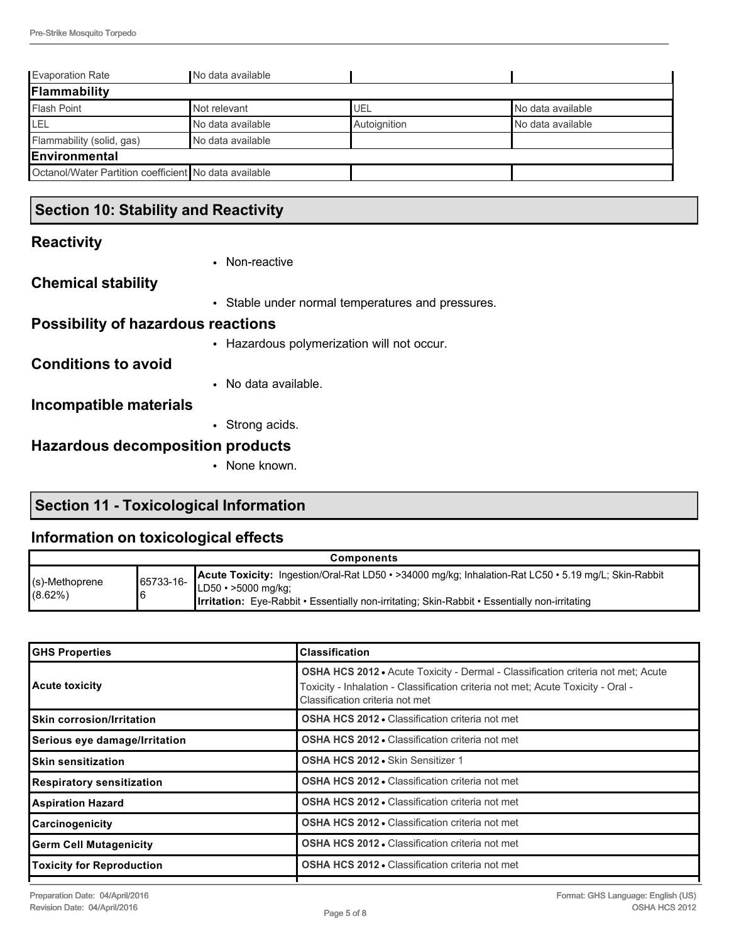| <b>Evaporation Rate</b>                               | No data available |              |                   |
|-------------------------------------------------------|-------------------|--------------|-------------------|
| Flammability                                          |                   |              |                   |
| <b>Flash Point</b>                                    | Not relevant      | UEL          | No data available |
| LEL                                                   | No data available | Autoignition | No data available |
| Flammability (solid, gas)                             | No data available |              |                   |
| Environmental                                         |                   |              |                   |
| Octanol/Water Partition coefficient No data available |                   |              |                   |
|                                                       |                   |              |                   |

## **Section 10: Stability and Reactivity**

## **Reactivity**

|                                           | • Non-reactive                                    |
|-------------------------------------------|---------------------------------------------------|
| <b>Chemical stability</b>                 |                                                   |
|                                           | • Stable under normal temperatures and pressures. |
| <b>Possibility of hazardous reactions</b> |                                                   |
|                                           | • Hazardous polymerization will not occur.        |
| <b>Conditions to avoid</b>                |                                                   |
|                                           | • No data available.                              |
| Incompatible materials                    |                                                   |
|                                           | • Strong acids.                                   |
| <b>Hazardous decomposition products</b>   |                                                   |
|                                           | • None known.                                     |

## **Section 11 - Toxicological Information**

## **Information on toxicological effects**

| <b>Components</b>           |           |                                                                                                                                                                                                                                            |  |
|-----------------------------|-----------|--------------------------------------------------------------------------------------------------------------------------------------------------------------------------------------------------------------------------------------------|--|
| l(s)-Methoprene<br>l(8.62%) | 65733-16- | Acute Toxicity: Ingestion/Oral-Rat LD50 · >34000 mg/kg; Inhalation-Rat LC50 · 5.19 mg/L; Skin-Rabbit<br>$LD50 \cdot > 5000$ mg/kg;<br><b>Irritation:</b> Eye-Rabbit • Essentially non-irritating; Skin-Rabbit • Essentially non-irritating |  |

| <b>GHS Properties</b>            | <b>Classification</b>                                                                                                                                                                                          |  |
|----------------------------------|----------------------------------------------------------------------------------------------------------------------------------------------------------------------------------------------------------------|--|
| <b>Acute toxicity</b>            | <b>OSHA HCS 2012 •</b> Acute Toxicity - Dermal - Classification criteria not met; Acute<br>Toxicity - Inhalation - Classification criteria not met; Acute Toxicity - Oral -<br>Classification criteria not met |  |
| <b>Skin corrosion/Irritation</b> | <b>OSHA HCS 2012 • Classification criteria not met</b>                                                                                                                                                         |  |
| Serious eye damage/Irritation    | <b>OSHA HCS 2012 - Classification criteria not met</b>                                                                                                                                                         |  |
| <b>Skin sensitization</b>        | OSHA HCS 2012 . Skin Sensitizer 1                                                                                                                                                                              |  |
| <b>Respiratory sensitization</b> | <b>OSHA HCS 2012 • Classification criteria not met</b>                                                                                                                                                         |  |
| <b>Aspiration Hazard</b>         | OSHA HCS 2012 - Classification criteria not met                                                                                                                                                                |  |
| Carcinogenicity                  | <b>OSHA HCS 2012 • Classification criteria not met</b>                                                                                                                                                         |  |
| <b>Germ Cell Mutagenicity</b>    | <b>OSHA HCS 2012 • Classification criteria not met</b>                                                                                                                                                         |  |
| <b>Toxicity for Reproduction</b> | <b>OSHA HCS 2012 • Classification criteria not met</b>                                                                                                                                                         |  |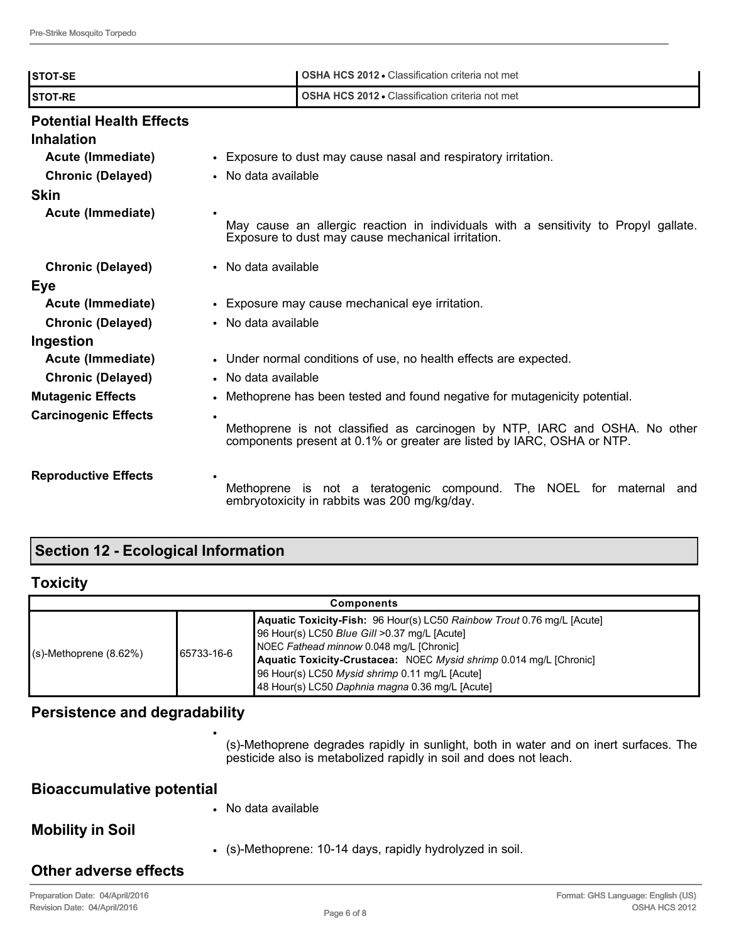| <b>STOT-SE</b>                                       | <b>OSHA HCS 2012 • Classification criteria not met</b>                                                                                               |  |
|------------------------------------------------------|------------------------------------------------------------------------------------------------------------------------------------------------------|--|
| <b>STOT-RE</b>                                       | <b>OSHA HCS 2012 • Classification criteria not met</b>                                                                                               |  |
| <b>Potential Health Effects</b><br><b>Inhalation</b> |                                                                                                                                                      |  |
| Acute (Immediate)                                    | • Exposure to dust may cause nasal and respiratory irritation.                                                                                       |  |
| <b>Chronic (Delayed)</b>                             | • No data available                                                                                                                                  |  |
| <b>Skin</b>                                          |                                                                                                                                                      |  |
| Acute (Immediate)                                    | May cause an allergic reaction in individuals with a sensitivity to Propyl gallate.<br>Exposure to dust may cause mechanical irritation.             |  |
| <b>Chronic (Delayed)</b>                             | • No data available                                                                                                                                  |  |
| Eye                                                  |                                                                                                                                                      |  |
| Acute (Immediate)                                    | • Exposure may cause mechanical eye irritation.                                                                                                      |  |
| <b>Chronic (Delayed)</b>                             | • No data available                                                                                                                                  |  |
| Ingestion                                            |                                                                                                                                                      |  |
| Acute (Immediate)                                    | • Under normal conditions of use, no health effects are expected.                                                                                    |  |
| <b>Chronic (Delayed)</b>                             | • No data available                                                                                                                                  |  |
| <b>Mutagenic Effects</b>                             | • Methoprene has been tested and found negative for mutagenicity potential.                                                                          |  |
| <b>Carcinogenic Effects</b>                          | Methoprene is not classified as carcinogen by NTP, IARC and OSHA. No other<br>components present at 0.1% or greater are listed by IARC, OSHA or NTP. |  |
| <b>Reproductive Effects</b>                          | Methoprene is not a teratogenic compound.<br>The NOEL for maternal<br>and<br>embryotoxicity in rabbits was 200 mg/kg/day.                            |  |

## **Section 12 - Ecological Information**

## **Toxicity**

| <b>Components</b>         |             |                                                                                                                                                                                                                                                                                                                                               |  |
|---------------------------|-------------|-----------------------------------------------------------------------------------------------------------------------------------------------------------------------------------------------------------------------------------------------------------------------------------------------------------------------------------------------|--|
| $(s)$ -Methoprene (8.62%) | 165733-16-6 | Aquatic Toxicity-Fish: 96 Hour(s) LC50 Rainbow Trout 0.76 mg/L [Acute]<br>96 Hour(s) LC50 Blue Gill >0.37 mg/L [Acute]<br>NOEC Fathead minnow 0.048 mg/L [Chronic]<br>Aquatic Toxicity-Crustacea: NOEC Mysid shrimp 0.014 mg/L [Chronic]<br>96 Hour(s) LC50 Mysid shrimp 0.11 mg/L [Acute]<br>48 Hour(s) LC50 Daphnia magna 0.36 mg/L [Acute] |  |

## **Persistence and degradability**

•

(s)-Methoprene degrades rapidly in sunlight, both in water and on inert surfaces. The pesticide also is metabolized rapidly in soil and does not leach.

| <b>Bioaccumulative potential</b> |                                                           |
|----------------------------------|-----------------------------------------------------------|
| $\bullet$                        | No data available                                         |
| <b>Mobility in Soil</b>          |                                                           |
|                                  | • (s)-Methoprene: 10-14 days, rapidly hydrolyzed in soil. |
| <b>Other adverse effects</b>     |                                                           |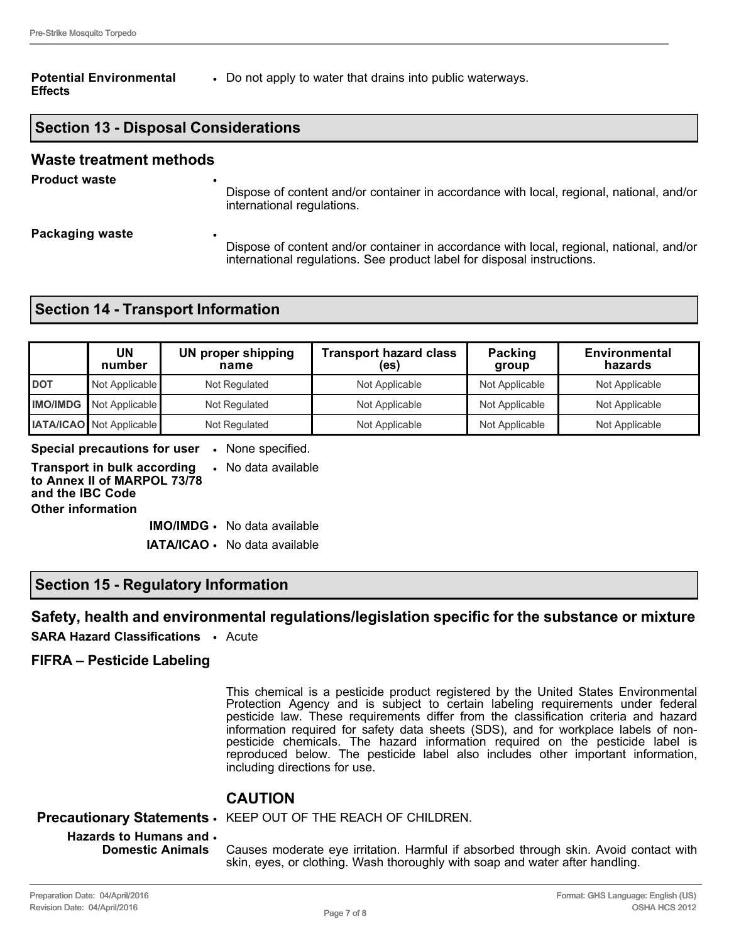#### **Potential Environmental Effects**

• Do not apply to water that drains into public waterways.

## **Section 13 - Disposal Considerations**

#### **Waste treatment methods**

**Product waste** 

Dispose of content and/or container in accordance with local, regional, national, and/or international regulations.

**Packaging waste** 

Dispose of content and/or container in accordance with local, regional, national, and/or international regulations. See product label for disposal instructions.

## **Section 14 - Transport Information**

|            | UN<br>number                    | UN proper shipping<br>name | <b>Transport hazard class</b><br>(es) | Packing<br>group | <b>Environmental</b><br>hazards |
|------------|---------------------------------|----------------------------|---------------------------------------|------------------|---------------------------------|
| <b>DOT</b> | Not Applicable                  | Not Regulated              | Not Applicable                        | Not Applicable   | Not Applicable                  |
|            | <b>IMO/IMDG</b> Not Applicable  | Not Regulated              | Not Applicable                        | Not Applicable   | Not Applicable                  |
|            | <b>IATA/ICAO</b> Not Applicable | Not Regulated              | Not Applicable                        | Not Applicable   | Not Applicable                  |

**Special precautions for user** • None specified.

**Transport in bulk according to Annex II of MARPOL 73/78 and the IBC Code** • No data available **Other information**

> **IMO/IMDG** • No data available **IATA/ICAO** • No data available

## **Section 15 - Regulatory Information**

### **Safety, health and environmental regulations/legislation specific for the substance or mixture**

**SARA Hazard Classifications** • Acute

#### **FIFRA – Pesticide Labeling**

This chemical is a pesticide product registered by the United States Environmental Protection Agency and is subject to certain labeling requirements under federal pesticide law. These requirements differ from the classification criteria and hazard information required for safety data sheets (SDS), and for workplace labels of nonpesticide chemicals. The hazard information required on the pesticide label is reproduced below. The pesticide label also includes other important information, including directions for use.

## **CAUTION**

#### **Precautionary Statements** • KEEP OUT OF THE REACH OF CHILDREN.

#### **Hazards to Humans and**  • **Domestic Animals**

Causes moderate eye irritation. Harmful if absorbed through skin. Avoid contact with skin, eyes, or clothing. Wash thoroughly with soap and water after handling.